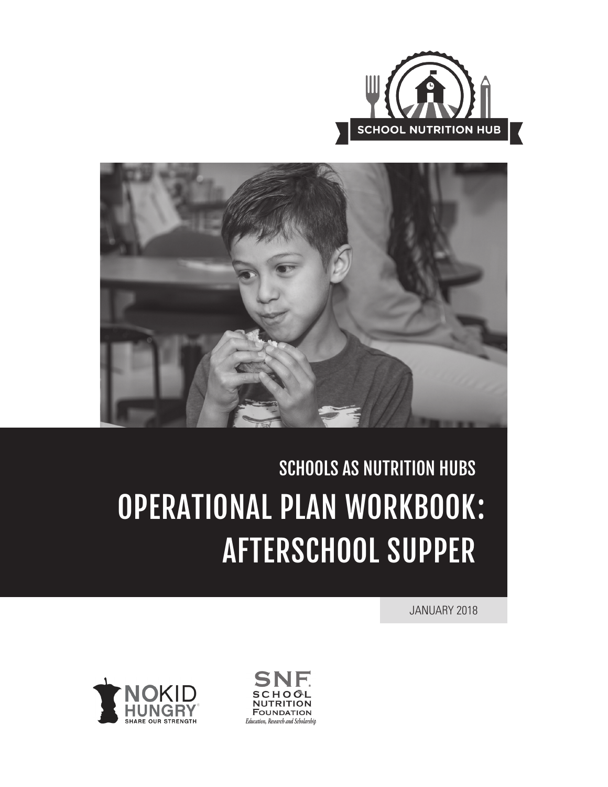



# SCHOOLS AS NUTRITION HUBS OPERATIONAL PLAN WORKBOOK :AFTERSCHOOL SUPPER

JANUARY 2018



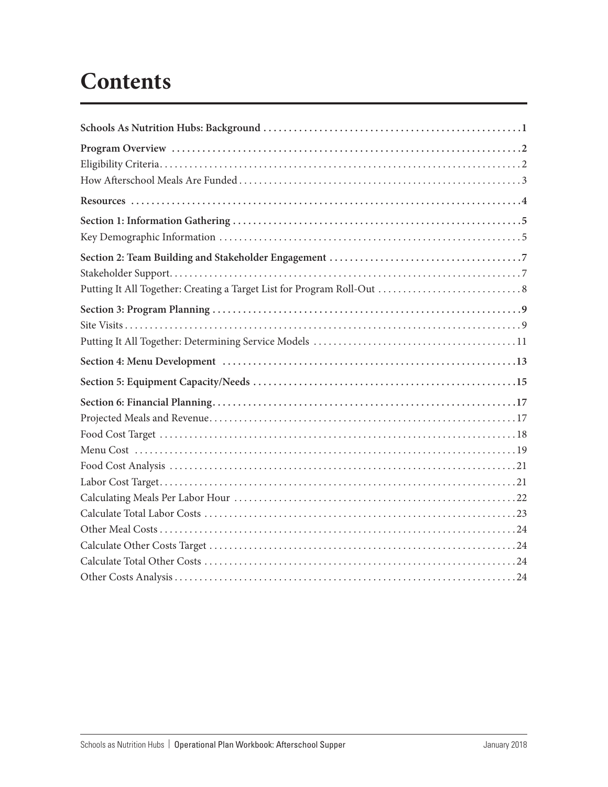## **Contents**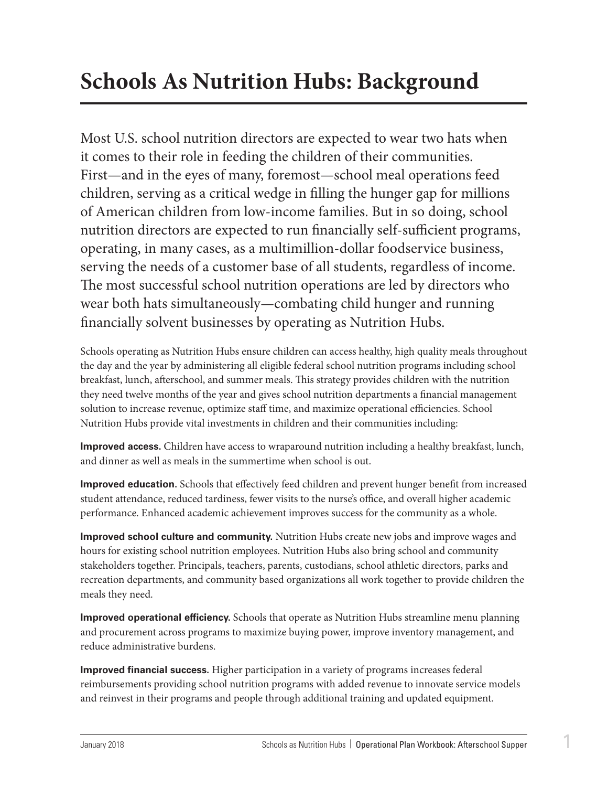## <span id="page-2-0"></span>**Schools As Nutrition Hubs: Background**

Most U.S. school nutrition directors are expected to wear two hats when it comes to their role in feeding the children of their communities. First—and in the eyes of many, foremost—school meal operations feed children, serving as a critical wedge in filling the hunger gap for millions of American children from low-income families. But in so doing, school nutrition directors are expected to run financially self-sufficient programs, operating, in many cases, as a multimillion-dollar foodservice business, serving the needs of a customer base of all students, regardless of income. The most successful school nutrition operations are led by directors who wear both hats simultaneously—combating child hunger and running financially solvent businesses by operating as Nutrition Hubs.

Schools operating as Nutrition Hubs ensure children can access healthy, high quality meals throughout the day and the year by administering all eligible federal school nutrition programs including school breakfast, lunch, afterschool, and summer meals. This strategy provides children with the nutrition they need twelve months of the year and gives school nutrition departments a financial management solution to increase revenue, optimize staff time, and maximize operational efficiencies. School Nutrition Hubs provide vital investments in children and their communities including:

**Improved access.** Children have access to wraparound nutrition including a healthy breakfast, lunch, and dinner as well as meals in the summertime when school is out.

**Improved education.** Schools that effectively feed children and prevent hunger benefit from increased student attendance, reduced tardiness, fewer visits to the nurse's office, and overall higher academic performance. Enhanced academic achievement improves success for the community as a whole.

**Improved school culture and community.** Nutrition Hubs create new jobs and improve wages and hours for existing school nutrition employees. Nutrition Hubs also bring school and community stakeholders together. Principals, teachers, parents, custodians, school athletic directors, parks and recreation departments, and community based organizations all work together to provide children the meals they need.

**Improved operational efficiency.** Schools that operate as Nutrition Hubs streamline menu planning and procurement across programs to maximize buying power, improve inventory management, and reduce administrative burdens.

**Improved financial success.** Higher participation in a variety of programs increases federal reimbursements providing school nutrition programs with added revenue to innovate service models and reinvest in their programs and people through additional training and updated equipment.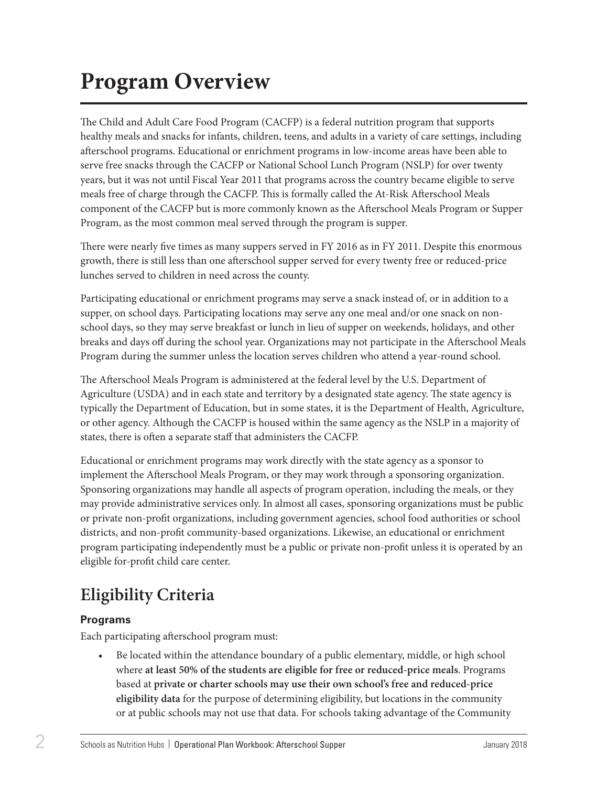## <span id="page-3-0"></span>**Program Overview**

The Child and Adult Care Food Program (CACFP) is a federal nutrition program that supports healthy meals and snacks for infants, children, teens, and adults in a variety of care settings, including afterschool programs. Educational or enrichment programs in low-income areas have been able to serve free snacks through the CACFP or National School Lunch Program (NSLP) for over twenty years, but it was not until Fiscal Year 2011 that programs across the country became eligible to serve meals free of charge through the CACFP. This is formally called the At-Risk Afterschool Meals component of the CACFP but is more commonly known as the Afterschool Meals Program or Supper Program, as the most common meal served through the program is supper.

There were nearly five times as many suppers served in FY 2016 as in FY 2011. Despite this enormous growth, there is still less than one afterschool supper served for every twenty free or reduced-price lunches served to children in need across the county.

Participating educational or enrichment programs may serve a snack instead of, or in addition to a supper, on school days. Participating locations may serve any one meal and/or one snack on nonschool days, so they may serve breakfast or lunch in lieu of supper on weekends, holidays, and other breaks and days off during the school year. Organizations may not participate in the Afterschool Meals Program during the summer unless the location serves children who attend a year-round school.

The Afterschool Meals Program is administered at the federal level by the U.S. Department of Agriculture (USDA) and in each state and territory by a designated state agency. The state agency is typically the Department of Education, but in some states, it is the Department of Health, Agriculture, or other agency. Although the CACFP is housed within the same agency as the NSLP in a majority of states, there is often a separate staff that administers the CACFP.

Educational or enrichment programs may work directly with the state agency as a sponsor to implement the Afterschool Meals Program, or they may work through a sponsoring organization. Sponsoring organizations may handle all aspects of program operation, including the meals, or they may provide administrative services only. In almost all cases, sponsoring organizations must be public or private non-profit organizations, including government agencies, school food authorities or school districts, and non-profit community-based organizations. Likewise, an educational or enrichment program participating independently must be a public or private non-profit unless it is operated by an eligible for-profit child care center.

## **Eligibility Criteria**

#### **Programs**

Each participating afterschool program must:

• Be located within the attendance boundary of a public elementary, middle, or high school where **at least 50% of the students are eligible for free or reduced-price meals**. Programs based at **private or charter schools may use their own school's free and reduced-price eligibility data** for the purpose of determining eligibility, but locations in the community or at public schools may not use that data. For schools taking advantage of the Community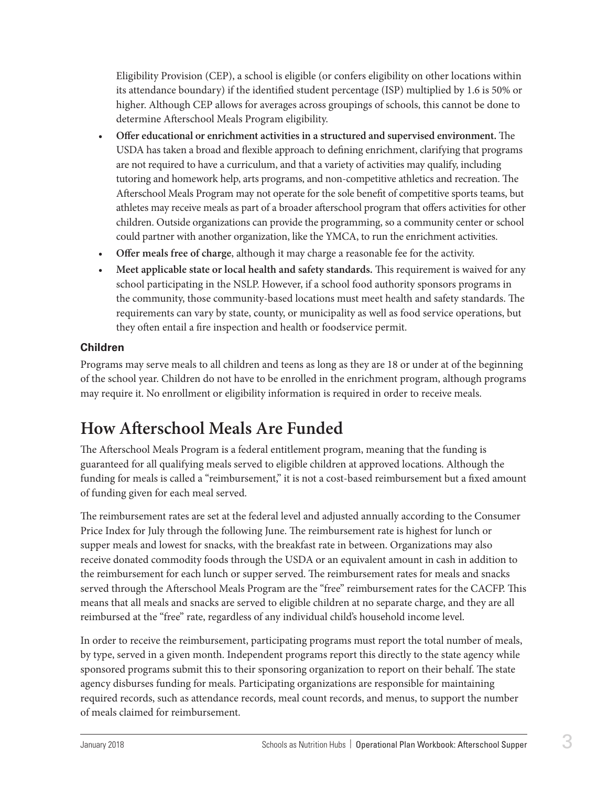<span id="page-4-0"></span>Eligibility Provision (CEP), a school is eligible (or confers eligibility on other locations within its attendance boundary) if the identified student percentage (ISP) multiplied by 1.6 is 50% or higher. Although CEP allows for averages across groupings of schools, this cannot be done to determine Afterschool Meals Program eligibility.

- **Offer educational or enrichment activities in a structured and supervised environment.** The USDA has taken a broad and flexible approach to defining enrichment, clarifying that programs are not required to have a curriculum, and that a variety of activities may qualify, including tutoring and homework help, arts programs, and non-competitive athletics and recreation. The Afterschool Meals Program may not operate for the sole benefit of competitive sports teams, but athletes may receive meals as part of a broader afterschool program that offers activities for other children. Outside organizations can provide the programming, so a community center or school could partner with another organization, like the YMCA, to run the enrichment activities.
- **Offer meals free of charge**, although it may charge a reasonable fee for the activity.
- **Meet applicable state or local health and safety standards.** This requirement is waived for any school participating in the NSLP. However, if a school food authority sponsors programs in the community, those community-based locations must meet health and safety standards. The requirements can vary by state, county, or municipality as well as food service operations, but they often entail a fire inspection and health or foodservice permit.

#### **Children**

Programs may serve meals to all children and teens as long as they are 18 or under at of the beginning of the school year. Children do not have to be enrolled in the enrichment program, although programs may require it. No enrollment or eligibility information is required in order to receive meals.

### **How Afterschool Meals Are Funded**

The Afterschool Meals Program is a federal entitlement program, meaning that the funding is guaranteed for all qualifying meals served to eligible children at approved locations. Although the funding for meals is called a "reimbursement," it is not a cost-based reimbursement but a fixed amount of funding given for each meal served.

The reimbursement rates are set at the federal level and adjusted annually according to the Consumer Price Index for July through the following June. The reimbursement rate is highest for lunch or supper meals and lowest for snacks, with the breakfast rate in between. Organizations may also receive donated commodity foods through the USDA or an equivalent amount in cash in addition to the reimbursement for each lunch or supper served. The reimbursement rates for meals and snacks served through the Afterschool Meals Program are the "free" reimbursement rates for the CACFP. This means that all meals and snacks are served to eligible children at no separate charge, and they are all reimbursed at the "free" rate, regardless of any individual child's household income level.

In order to receive the reimbursement, participating programs must report the total number of meals, by type, served in a given month. Independent programs report this directly to the state agency while sponsored programs submit this to their sponsoring organization to report on their behalf. The state agency disburses funding for meals. Participating organizations are responsible for maintaining required records, such as attendance records, meal count records, and menus, to support the number of meals claimed for reimbursement.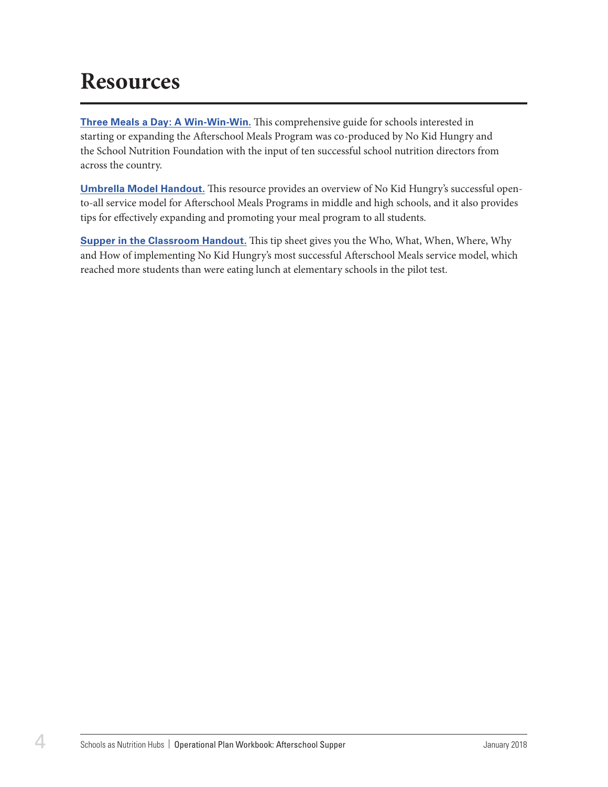## <span id="page-5-0"></span>**Resources**

**[Three Meals a Day: A Win-Win-Win.](https://bestpractices.nokidhungry.org/sites/default/files/resources/three_meals_a_day_starting_and_improving_your_afterschool_meals_program.pdf)** This comprehensive guide for schools interested in starting or expanding the Afterschool Meals Program was co-produced by No Kid Hungry and the School Nutrition Foundation with the input of ten successful school nutrition directors from across the country.

**[Umbrella Model Handout.](https://bestpractices.nokidhungry.org/sites/default/files/resources/afterschool_meals_umbrella_model_handout_0.pdf)** This resource provides an overview of No Kid Hungry's successful opento-all service model for Afterschool Meals Programs in middle and high schools, and it also provides tips for effectively expanding and promoting your meal program to all students.

**[Supper in the Classroom Handout.](https://bestpractices.nokidhungry.org/sites/default/files/resources/supper_in_the_classroom_handout.pdf)** This tip sheet gives you the Who, What, When, Where, Why and How of implementing No Kid Hungry's most successful Afterschool Meals service model, which reached more students than were eating lunch at elementary schools in the pilot test.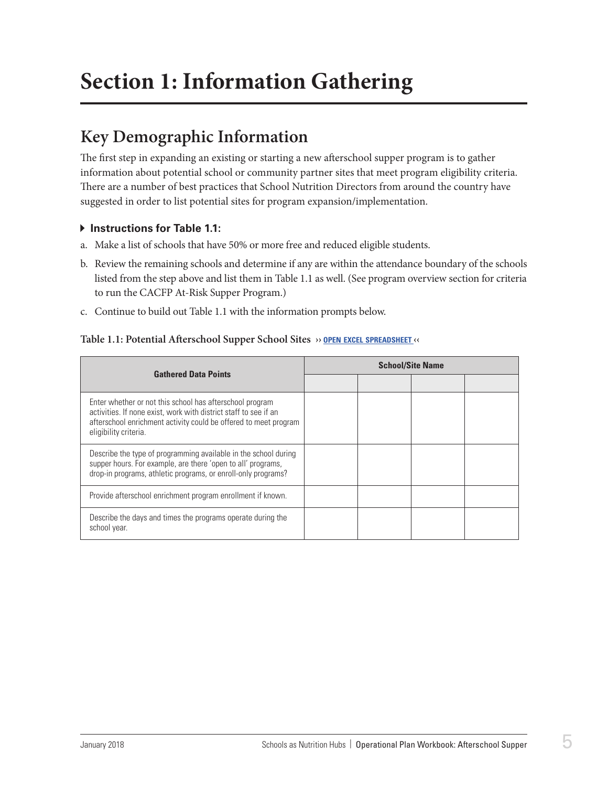## <span id="page-6-0"></span>**Section 1: Information Gathering**

### **Key Demographic Information**

The first step in expanding an existing or starting a new afterschool supper program is to gather information about potential school or community partner sites that meet program eligibility criteria. There are a number of best practices that School Nutrition Directors from around the country have suggested in order to list potential sites for program expansion/implementation.

#### **Instructions for Table 1.1:**

- a. Make a list of schools that have 50% or more free and reduced eligible students.
- b. Review the remaining schools and determine if any are within the attendance boundary of the schools listed from the step above and list them in Table 1.1 as well. (See program overview section for criteria to run the CACFP At-Risk Supper Program.)
- c. Continue to build out Table 1.1 with the information prompts below.

#### **Table 1.1: Potential Afterschool Supper School Sites ›› open excel [spreadsheet](https://schoolnutrition.org/uploadedFiles/2_Meetings_and_Events/SNF/Pages/supper-LR-121417.xlsx) ‹‹**

| <b>Gathered Data Points</b>                                                                                                                                                                                               |  | <b>School/Site Name</b> |  |
|---------------------------------------------------------------------------------------------------------------------------------------------------------------------------------------------------------------------------|--|-------------------------|--|
|                                                                                                                                                                                                                           |  |                         |  |
| Enter whether or not this school has afterschool program<br>activities. If none exist, work with district staff to see if an<br>afterschool enrichment activity could be offered to meet program<br>eligibility criteria. |  |                         |  |
| Describe the type of programming available in the school during<br>supper hours. For example, are there 'open to all' programs,<br>drop-in programs, athletic programs, or enroll-only programs?                          |  |                         |  |
| Provide afterschool enrichment program enrollment if known.                                                                                                                                                               |  |                         |  |
| Describe the days and times the programs operate during the<br>school year.                                                                                                                                               |  |                         |  |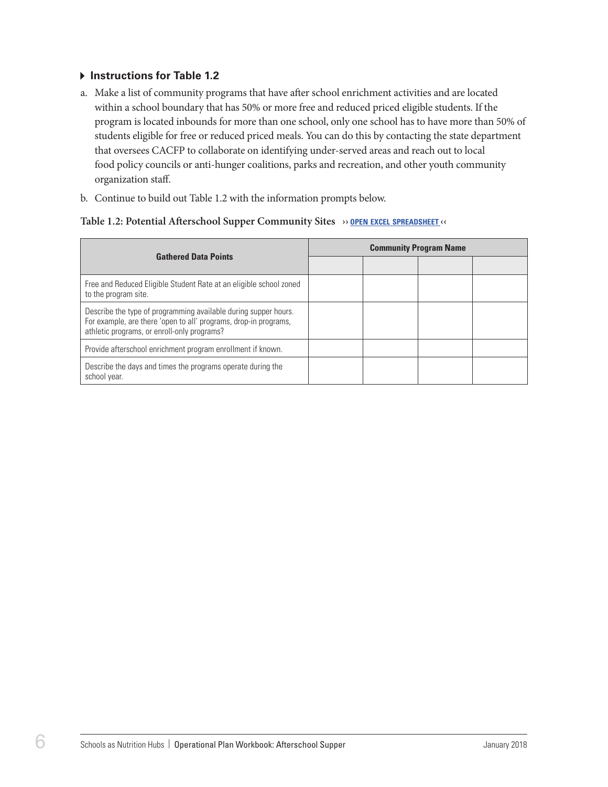#### **Instructions for Table 1.2**

- a. Make a list of community programs that have after school enrichment activities and are located within a school boundary that has 50% or more free and reduced priced eligible students. If the program is located inbounds for more than one school, only one school has to have more than 50% of students eligible for free or reduced priced meals. You can do this by contacting the state department that oversees CACFP to collaborate on identifying under-served areas and reach out to local food policy councils or anti-hunger coalitions, parks and recreation, and other youth community organization staff.
- b. Continue to build out Table 1.2 with the information prompts below.

#### **Table 1.2: Potential Afterschool Supper Community Sites ›› open excel [spreadsheet](https://schoolnutrition.org/uploadedFiles/2_Meetings_and_Events/SNF/Pages/supper-LR-121417.xlsx) ‹‹**

| <b>Gathered Data Points</b>                                                                                                                                                        | <b>Community Program Name</b> |  |  |  |
|------------------------------------------------------------------------------------------------------------------------------------------------------------------------------------|-------------------------------|--|--|--|
|                                                                                                                                                                                    |                               |  |  |  |
| Free and Reduced Eligible Student Rate at an eligible school zoned<br>to the program site.                                                                                         |                               |  |  |  |
| Describe the type of programming available during supper hours.<br>For example, are there 'open to all' programs, drop-in programs,<br>athletic programs, or enroll-only programs? |                               |  |  |  |
| Provide afterschool enrichment program enrollment if known.                                                                                                                        |                               |  |  |  |
| Describe the days and times the programs operate during the<br>school year.                                                                                                        |                               |  |  |  |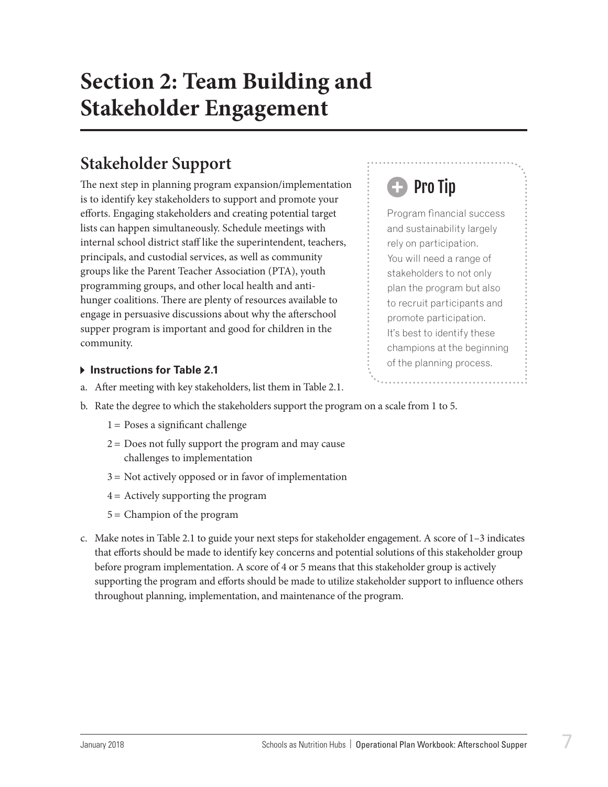## <span id="page-8-0"></span>**Section 2: Team Building and Stakeholder Engagement**

### **Stakeholder Support**

The next step in planning program expansion/implementation is to identify key stakeholders to support and promote your efforts. Engaging stakeholders and creating potential target lists can happen simultaneously. Schedule meetings with internal school district staff like the superintendent, teachers, principals, and custodial services, as well as community groups like the Parent Teacher Association (PTA), youth programming groups, and other local health and antihunger coalitions. There are plenty of resources available to engage in persuasive discussions about why the afterschool supper program is important and good for children in the community.

## Pro Tip

Program financial success and sustainability largely rely on participation. You will need a range of stakeholders to not only plan the program but also to recruit participants and promote participation. It's best to identify these champions at the beginning of the planning process.

#### **Following Instructions for Table 2.1**

- a. After meeting with key stakeholders, list them in Table 2.1.
- b. Rate the degree to which the stakeholders support the program on a scale from 1 to 5.
	- $1 =$  Poses a significant challenge
	- $2 =$  Does not fully support the program and may cause challenges to implementation
	- 3 = Not actively opposed or in favor of implementation
	- 4 = Actively supporting the program
	- 5 = Champion of the program
- c. Make notes in Table 2.1 to guide your next steps for stakeholder engagement. A score of 1–3 indicates that efforts should be made to identify key concerns and potential solutions of this stakeholder group before program implementation. A score of 4 or 5 means that this stakeholder group is actively supporting the program and efforts should be made to utilize stakeholder support to influence others throughout planning, implementation, and maintenance of the program.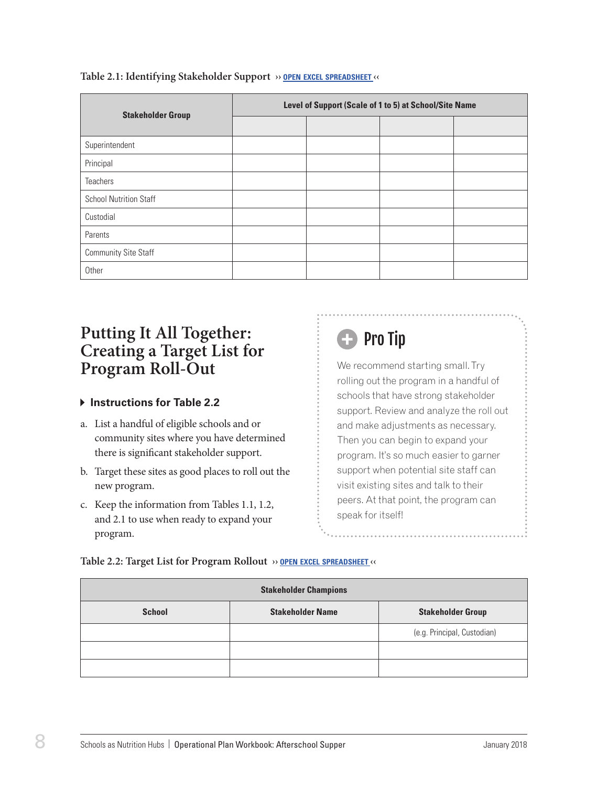| <b>Stakeholder Group</b>      | Level of Support (Scale of 1 to 5) at School/Site Name |  |  |  |  |
|-------------------------------|--------------------------------------------------------|--|--|--|--|
|                               |                                                        |  |  |  |  |
| Superintendent                |                                                        |  |  |  |  |
| Principal                     |                                                        |  |  |  |  |
| <b>Teachers</b>               |                                                        |  |  |  |  |
| <b>School Nutrition Staff</b> |                                                        |  |  |  |  |
| Custodial                     |                                                        |  |  |  |  |
| Parents                       |                                                        |  |  |  |  |
| <b>Community Site Staff</b>   |                                                        |  |  |  |  |
| Other                         |                                                        |  |  |  |  |

#### <span id="page-9-0"></span>**Table 2.1: Identifying Stakeholder Support ›› open excel [spreadsheet](https://schoolnutrition.org/uploadedFiles/2_Meetings_and_Events/SNF/Pages/supper-LR-121417.xlsx) ‹‹**

### **Putting It All Together: Creating a Target List for Program Roll-Out**

#### **Instructions for Table 2.2**

- a. List a handful of eligible schools and or community sites where you have determined there is significant stakeholder support.
- b. Target these sites as good places to roll out the new program.
- c. Keep the information from Tables 1.1, 1.2, and 2.1 to use when ready to expand your program.

## **B** Pro Tip

We recommend starting small. Try rolling out the program in a handful of schools that have strong stakeholder support. Review and analyze the roll out and make adjustments as necessary. Then you can begin to expand your program. It's so much easier to garner support when potential site staff can visit existing sites and talk to their peers. At that point, the program can speak for itself!

#### **Table 2.2: Target List for Program Rollout ›› open excel [spreadsheet](https://schoolnutrition.org/uploadedFiles/2_Meetings_and_Events/SNF/Pages/supper-LR-121417.xlsx) ‹‹**

| <b>Stakeholder Champions</b> |                         |                             |  |  |  |  |
|------------------------------|-------------------------|-----------------------------|--|--|--|--|
| <b>School</b>                | <b>Stakeholder Name</b> | <b>Stakeholder Group</b>    |  |  |  |  |
|                              |                         | (e.g. Principal, Custodian) |  |  |  |  |
|                              |                         |                             |  |  |  |  |
|                              |                         |                             |  |  |  |  |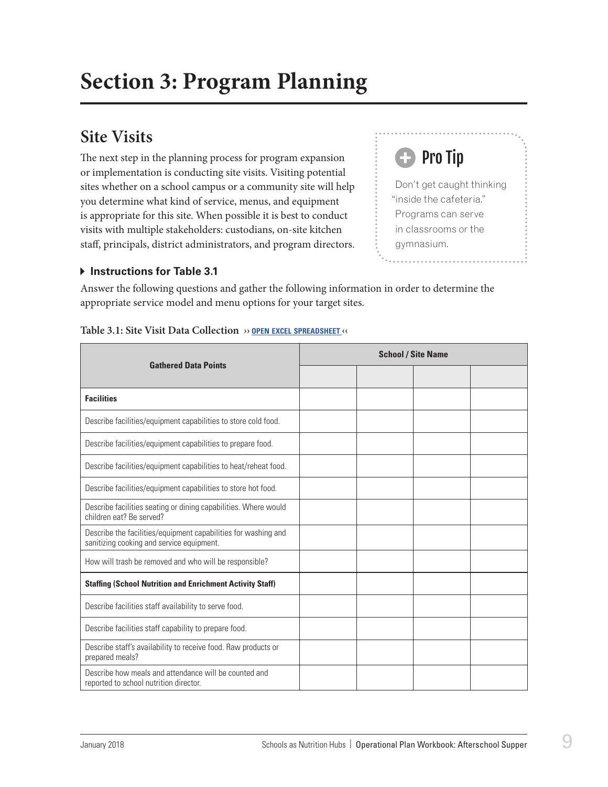### <span id="page-10-0"></span>**Site Visits**

The next step in the planning process for program expansion or implementation is conducting site visits. Visiting potential sites whether on a school campus or a community site will help you determine what kind of service, menus, and equipment is appropriate for this site. When possible it is best to conduct visits with multiple stakeholders: custodians, on-site kitchen staff, principals, district administrators, and program directors.

#### **Instructions for Table 3.1**

Don't get caught thinking "inside the cafeteria." Programs can serve in classrooms or the gymnasium.

Pro Tip

Answer the following questions and gather the following information in order to determine the appropriate service model and menu options for your target sites.

|                                                                                                             | <b>School / Site Name</b> |  |  |  |
|-------------------------------------------------------------------------------------------------------------|---------------------------|--|--|--|
| <b>Gathered Data Points</b>                                                                                 |                           |  |  |  |
| <b>Facilities</b>                                                                                           |                           |  |  |  |
| Describe facilities/equipment capabilities to store cold food.                                              |                           |  |  |  |
| Describe facilities/equipment capabilities to prepare food.                                                 |                           |  |  |  |
| Describe facilities/equipment capabilities to heat/reheat food.                                             |                           |  |  |  |
| Describe facilities/equipment capabilities to store hot food.                                               |                           |  |  |  |
| Describe facilities seating or dining capabilities. Where would<br>children eat? Be served?                 |                           |  |  |  |
| Describe the facilities/equipment capabilities for washing and<br>sanitizing cooking and service equipment. |                           |  |  |  |
| How will trash be removed and who will be responsible?                                                      |                           |  |  |  |
| <b>Staffing (School Nutrition and Enrichment Activity Staff)</b>                                            |                           |  |  |  |
| Describe facilities staff availability to serve food.                                                       |                           |  |  |  |
| Describe facilities staff capability to prepare food.                                                       |                           |  |  |  |
| Describe staff's availability to receive food. Raw products or<br>prepared meals?                           |                           |  |  |  |
| Describe how meals and attendance will be counted and<br>reported to school nutrition director.             |                           |  |  |  |

#### **Table 3.1: Site Visit Data Collection ›› open excel [spreadsheet](https://schoolnutrition.org/uploadedFiles/2_Meetings_and_Events/SNF/Pages/supper-LR-121417.xlsx) ‹‹**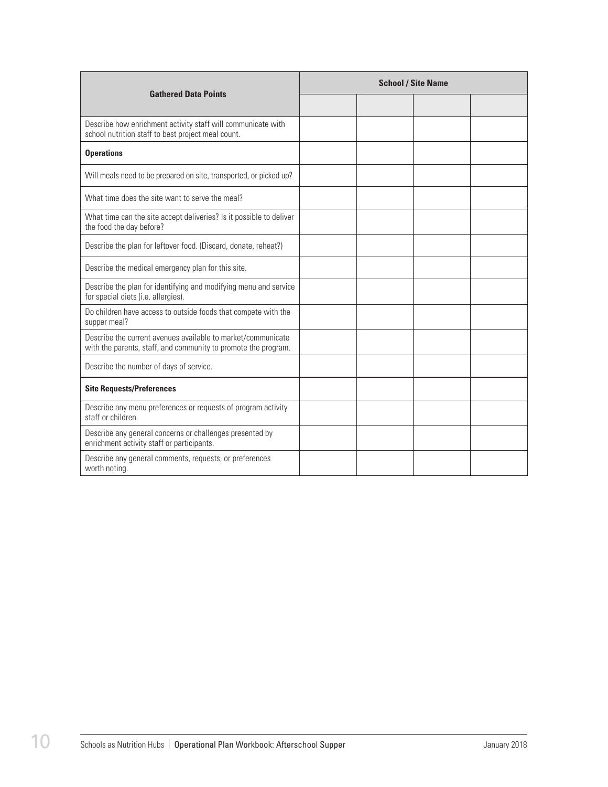| <b>Gathered Data Points</b>                                                                                                    | <b>School / Site Name</b> |  |  |  |  |
|--------------------------------------------------------------------------------------------------------------------------------|---------------------------|--|--|--|--|
|                                                                                                                                |                           |  |  |  |  |
| Describe how enrichment activity staff will communicate with<br>school nutrition staff to best project meal count.             |                           |  |  |  |  |
| <b>Operations</b>                                                                                                              |                           |  |  |  |  |
| Will meals need to be prepared on site, transported, or picked up?                                                             |                           |  |  |  |  |
| What time does the site want to serve the meal?                                                                                |                           |  |  |  |  |
| What time can the site accept deliveries? Is it possible to deliver<br>the food the day before?                                |                           |  |  |  |  |
| Describe the plan for leftover food. (Discard, donate, reheat?)                                                                |                           |  |  |  |  |
| Describe the medical emergency plan for this site.                                                                             |                           |  |  |  |  |
| Describe the plan for identifying and modifying menu and service<br>for special diets (i.e. allergies).                        |                           |  |  |  |  |
| Do children have access to outside foods that compete with the<br>supper meal?                                                 |                           |  |  |  |  |
| Describe the current avenues available to market/communicate<br>with the parents, staff, and community to promote the program. |                           |  |  |  |  |
| Describe the number of days of service.                                                                                        |                           |  |  |  |  |
| <b>Site Requests/Preferences</b>                                                                                               |                           |  |  |  |  |
| Describe any menu preferences or requests of program activity<br>staff or children.                                            |                           |  |  |  |  |
| Describe any general concerns or challenges presented by<br>enrichment activity staff or participants.                         |                           |  |  |  |  |
| Describe any general comments, requests, or preferences<br>worth noting.                                                       |                           |  |  |  |  |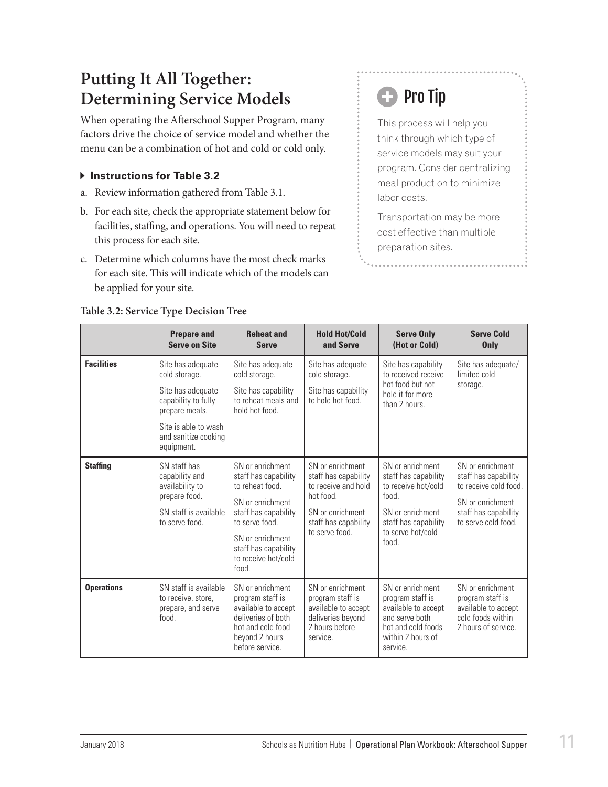### <span id="page-12-0"></span>**Putting It All Together: Determining Service Models**

When operating the Afterschool Supper Program, many factors drive the choice of service model and whether the menu can be a combination of hot and cold or cold only.

#### **Instructions for Table 3.2**

- a. Review information gathered from Table 3.1.
- b. For each site, check the appropriate statement below for facilities, staffing, and operations. You will need to repeat this process for each site.
- c. Determine which columns have the most check marks for each site. This will indicate which of the models can be applied for your site.

## **B** Pro Tip

This process will help you think through which type of service models may suit your program. Consider centralizing meal production to minimize labor costs.

Transportation may be more cost effective than multiple preparation sites.

|                   | <b>Prepare and</b><br><b>Serve on Site</b>                                                                                                                     | <b>Reheat and</b><br><b>Serve</b>                                                                                                                                                                     | <b>Hold Hot/Cold</b><br>and Serve                                                                                                         | <b>Serve Only</b><br>(Hot or Cold)                                                                                                                | <b>Serve Cold</b><br>Only                                                                                                            |
|-------------------|----------------------------------------------------------------------------------------------------------------------------------------------------------------|-------------------------------------------------------------------------------------------------------------------------------------------------------------------------------------------------------|-------------------------------------------------------------------------------------------------------------------------------------------|---------------------------------------------------------------------------------------------------------------------------------------------------|--------------------------------------------------------------------------------------------------------------------------------------|
| <b>Facilities</b> | Site has adequate<br>cold storage.<br>Site has adequate<br>capability to fully<br>prepare meals.<br>Site is able to wash<br>and sanitize cooking<br>equipment. | Site has adequate<br>cold storage.<br>Site has capability<br>to reheat meals and<br>hold hot food.                                                                                                    | Site has adequate<br>cold storage.<br>Site has capability<br>to hold hot food.                                                            | Site has capability<br>to received receive<br>hot food but not<br>hold it for more<br>than 2 hours                                                | Site has adequate/<br>limited cold<br>storage.                                                                                       |
| <b>Staffing</b>   | SN staff has<br>capability and<br>availability to<br>prepare food.<br>SN staff is available<br>to serve food.                                                  | SN or enrichment<br>staff has capability<br>to reheat food.<br>SN or enrichment<br>staff has capability<br>to serve food.<br>SN or enrichment<br>staff has capability<br>to receive hot/cold<br>food. | SN or enrichment<br>staff has capability<br>to receive and hold<br>hot food.<br>SN or enrichment<br>staff has capability<br>to serve food | SN or enrichment<br>staff has capability<br>to receive hot/cold<br>food.<br>SN or enrichment<br>staff has capability<br>to serve hot/cold<br>hond | SN or enrichment<br>staff has capability<br>to receive cold food.<br>SN or enrichment<br>staff has capability<br>to serve cold food. |
| <b>Operations</b> | SN staff is available<br>to receive, store,<br>prepare, and serve<br>food.                                                                                     | SN or enrichment<br>program staff is<br>available to accept<br>deliveries of both<br>hot and cold food<br>beyond 2 hours<br>before service.                                                           | SN or enrichment<br>program staff is<br>available to accept<br>deliveries beyond<br>2 hours before<br>service.                            | SN or enrichment<br>program staff is<br>available to accept<br>and serve both<br>hot and cold foods<br>within 2 hours of<br>service.              | SN or enrichment<br>program staff is<br>available to accept<br>cold foods within<br>2 hours of service.                              |

#### **Table 3.2: Service Type Decision Tree**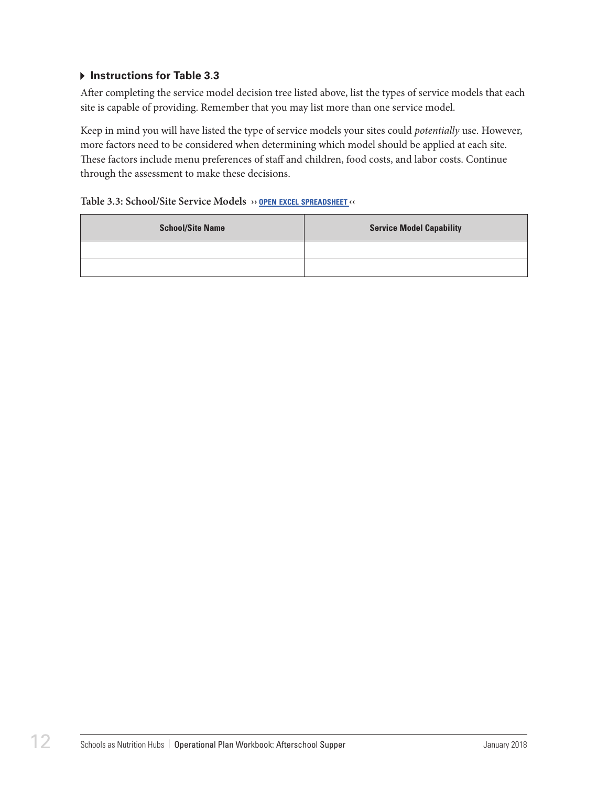#### **Instructions for Table 3.3**

After completing the service model decision tree listed above, list the types of service models that each site is capable of providing. Remember that you may list more than one service model.

Keep in mind you will have listed the type of service models your sites could *potentially* use. However, more factors need to be considered when determining which model should be applied at each site. These factors include menu preferences of staff and children, food costs, and labor costs. Continue through the assessment to make these decisions.

#### **Table 3.3: School/Site Service Models ›› open excel [spreadsheet](https://schoolnutrition.org/uploadedFiles/2_Meetings_and_Events/SNF/Pages/supper-LR-121417.xlsx) ‹‹**

| <b>School/Site Name</b> | <b>Service Model Capability</b> |
|-------------------------|---------------------------------|
|                         |                                 |
|                         |                                 |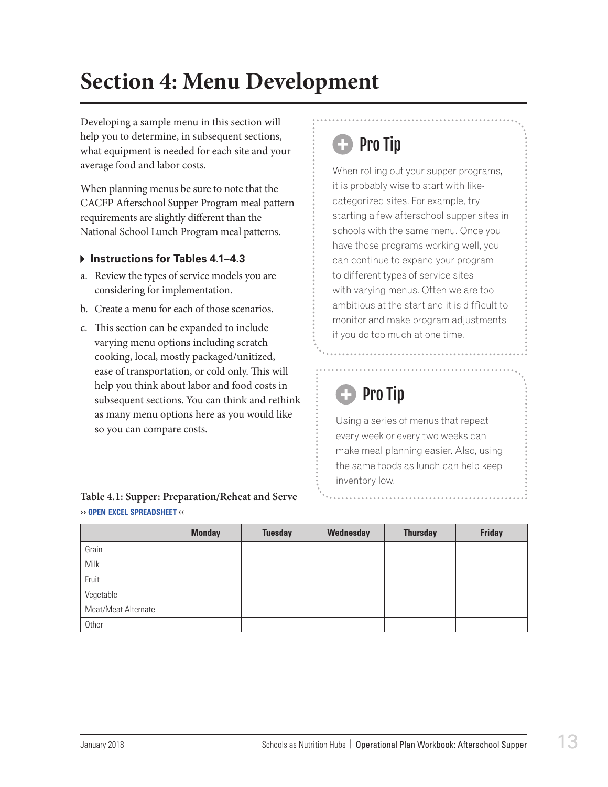## <span id="page-14-0"></span>**Section 4: Menu Development**

Developing a sample menu in this section will help you to determine, in subsequent sections, what equipment is needed for each site and your average food and labor costs.

When planning menus be sure to note that the CACFP Afterschool Supper Program meal pattern requirements are slightly different than the National School Lunch Program meal patterns.

#### **Instructions for Tables 4.1–4.3**

- a. Review the types of service models you are considering for implementation.
- b. Create a menu for each of those scenarios.
- c. This section can be expanded to include varying menu options including scratch cooking, local, mostly packaged/unitized, ease of transportation, or cold only. This will help you think about labor and food costs in subsequent sections. You can think and rethink as many menu options here as you would like so you can compare costs.

#### **Table 4.1: Supper: Preparation/Reheat and Serve ›› open excel [spreadsheet](https://schoolnutrition.org/uploadedFiles/2_Meetings_and_Events/SNF/Pages/supper-LR-121417.xlsx) ‹‹**

## **B** Pro Tip

When rolling out your supper programs, it is probably wise to start with likecategorized sites. For example, try starting a few afterschool supper sites in schools with the same menu. Once you have those programs working well, you can continue to expand your program to different types of service sites with varying menus. Often we are too ambitious at the start and it is difficult to monitor and make program adjustments if you do too much at one time.

## Pro Tip

Using a series of menus that repeat every week or every two weeks can make meal planning easier. Also, using the same foods as lunch can help keep inventory low.

|                     | <b>Monday</b> | <b>Tuesday</b> | Wednesday | <b>Thursday</b> | <b>Friday</b> |
|---------------------|---------------|----------------|-----------|-----------------|---------------|
| Grain               |               |                |           |                 |               |
| Milk                |               |                |           |                 |               |
| Fruit               |               |                |           |                 |               |
| Vegetable           |               |                |           |                 |               |
| Meat/Meat Alternate |               |                |           |                 |               |
| Other               |               |                |           |                 |               |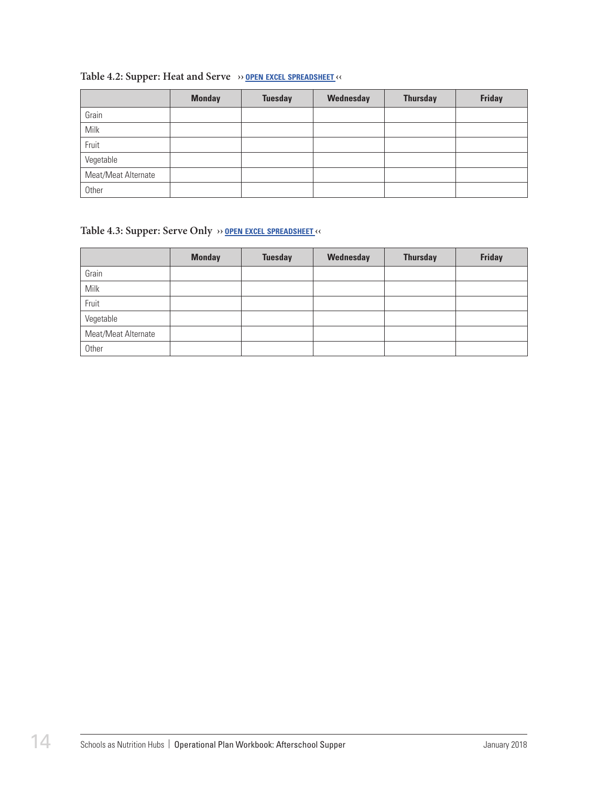#### **Table 4.2: Supper: Heat and Serve ›› open excel [spreadsheet](https://schoolnutrition.org/uploadedFiles/2_Meetings_and_Events/SNF/Pages/supper-LR-121417.xlsx) ‹‹**

|                     | <b>Monday</b> | <b>Tuesday</b> | Wednesday | <b>Thursday</b> | <b>Friday</b> |
|---------------------|---------------|----------------|-----------|-----------------|---------------|
| Grain               |               |                |           |                 |               |
| Milk                |               |                |           |                 |               |
| Fruit               |               |                |           |                 |               |
| Vegetable           |               |                |           |                 |               |
| Meat/Meat Alternate |               |                |           |                 |               |
| Other               |               |                |           |                 |               |

#### **Table 4.3: Supper: Serve Only ›› open excel [spreadsheet](https://schoolnutrition.org/uploadedFiles/2_Meetings_and_Events/SNF/Pages/supper-LR-121417.xlsx) ‹‹**

|                     | <b>Monday</b> | <b>Tuesday</b> | Wednesday | <b>Thursday</b> | <b>Friday</b> |
|---------------------|---------------|----------------|-----------|-----------------|---------------|
| Grain               |               |                |           |                 |               |
| Milk                |               |                |           |                 |               |
| Fruit               |               |                |           |                 |               |
| Vegetable           |               |                |           |                 |               |
| Meat/Meat Alternate |               |                |           |                 |               |
| Other               |               |                |           |                 |               |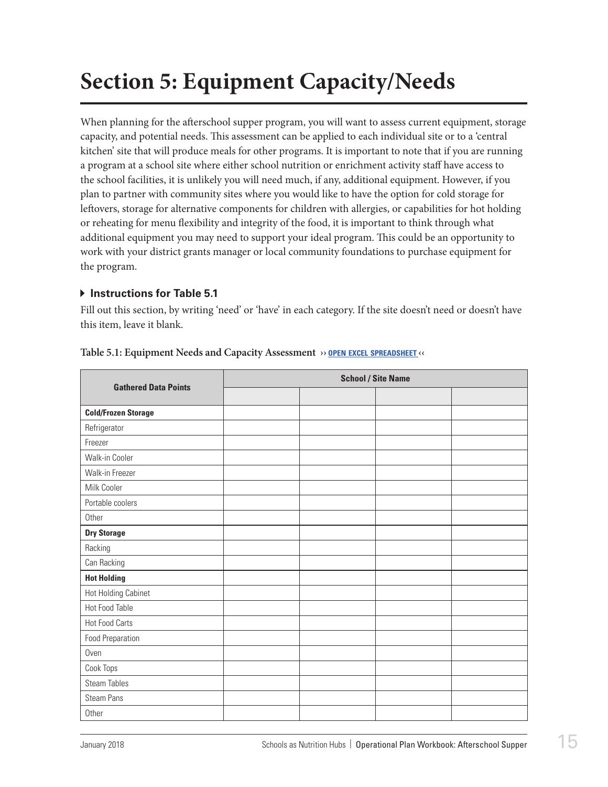## <span id="page-16-0"></span>**Section 5: Equipment Capacity/Needs**

When planning for the afterschool supper program, you will want to assess current equipment, storage capacity, and potential needs. This assessment can be applied to each individual site or to a 'central kitchen' site that will produce meals for other programs. It is important to note that if you are running a program at a school site where either school nutrition or enrichment activity staff have access to the school facilities, it is unlikely you will need much, if any, additional equipment. However, if you plan to partner with community sites where you would like to have the option for cold storage for leftovers, storage for alternative components for children with allergies, or capabilities for hot holding or reheating for menu flexibility and integrity of the food, it is important to think through what additional equipment you may need to support your ideal program. This could be an opportunity to work with your district grants manager or local community foundations to purchase equipment for the program.

#### **Instructions for Table 5.1**

Fill out this section, by writing 'need' or 'have' in each category. If the site doesn't need or doesn't have this item, leave it blank.

| <b>Gathered Data Points</b> | <b>School / Site Name</b> |  |  |  |  |
|-----------------------------|---------------------------|--|--|--|--|
|                             |                           |  |  |  |  |
| <b>Cold/Frozen Storage</b>  |                           |  |  |  |  |
| Refrigerator                |                           |  |  |  |  |
| Freezer                     |                           |  |  |  |  |
| Walk-in Cooler              |                           |  |  |  |  |
| Walk-in Freezer             |                           |  |  |  |  |
| Milk Cooler                 |                           |  |  |  |  |
| Portable coolers            |                           |  |  |  |  |
| Other                       |                           |  |  |  |  |
| <b>Dry Storage</b>          |                           |  |  |  |  |
| Racking                     |                           |  |  |  |  |
| Can Racking                 |                           |  |  |  |  |
| <b>Hot Holding</b>          |                           |  |  |  |  |
| Hot Holding Cabinet         |                           |  |  |  |  |
| Hot Food Table              |                           |  |  |  |  |
| <b>Hot Food Carts</b>       |                           |  |  |  |  |
| <b>Food Preparation</b>     |                           |  |  |  |  |
| Oven                        |                           |  |  |  |  |
| Cook Tops                   |                           |  |  |  |  |
| <b>Steam Tables</b>         |                           |  |  |  |  |
| <b>Steam Pans</b>           |                           |  |  |  |  |
| Other                       |                           |  |  |  |  |

#### **Table 5.1: Equipment Needs and Capacity Assessment ›› open excel [spreadsheet](https://schoolnutrition.org/uploadedFiles/2_Meetings_and_Events/SNF/Pages/supper-LR-121417.xlsx) ‹‹**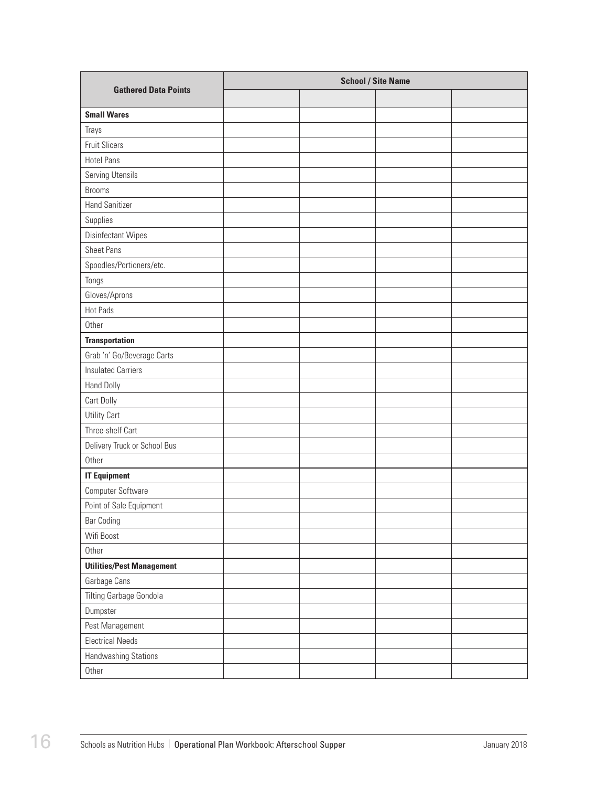| <b>Gathered Data Points</b>      | <b>School / Site Name</b> |  |  |  |  |
|----------------------------------|---------------------------|--|--|--|--|
|                                  |                           |  |  |  |  |
| <b>Small Wares</b>               |                           |  |  |  |  |
| Trays                            |                           |  |  |  |  |
| <b>Fruit Slicers</b>             |                           |  |  |  |  |
| <b>Hotel Pans</b>                |                           |  |  |  |  |
| Serving Utensils                 |                           |  |  |  |  |
| <b>Brooms</b>                    |                           |  |  |  |  |
| <b>Hand Sanitizer</b>            |                           |  |  |  |  |
| Supplies                         |                           |  |  |  |  |
| Disinfectant Wipes               |                           |  |  |  |  |
| <b>Sheet Pans</b>                |                           |  |  |  |  |
| Spoodles/Portioners/etc.         |                           |  |  |  |  |
| Tongs                            |                           |  |  |  |  |
| Gloves/Aprons                    |                           |  |  |  |  |
| Hot Pads                         |                           |  |  |  |  |
| Other                            |                           |  |  |  |  |
| <b>Transportation</b>            |                           |  |  |  |  |
| Grab 'n' Go/Beverage Carts       |                           |  |  |  |  |
| <b>Insulated Carriers</b>        |                           |  |  |  |  |
| Hand Dolly                       |                           |  |  |  |  |
| Cart Dolly                       |                           |  |  |  |  |
| Utility Cart                     |                           |  |  |  |  |
| Three-shelf Cart                 |                           |  |  |  |  |
| Delivery Truck or School Bus     |                           |  |  |  |  |
| Other                            |                           |  |  |  |  |
| <b>IT Equipment</b>              |                           |  |  |  |  |
| Computer Software                |                           |  |  |  |  |
| Point of Sale Equipment          |                           |  |  |  |  |
| <b>Bar Coding</b>                |                           |  |  |  |  |
| Wifi Boost                       |                           |  |  |  |  |
| Other                            |                           |  |  |  |  |
| <b>Utilities/Pest Management</b> |                           |  |  |  |  |
| Garbage Cans                     |                           |  |  |  |  |
| Tilting Garbage Gondola          |                           |  |  |  |  |
| Dumpster                         |                           |  |  |  |  |
| Pest Management                  |                           |  |  |  |  |
| <b>Electrical Needs</b>          |                           |  |  |  |  |
| Handwashing Stations             |                           |  |  |  |  |
| Other                            |                           |  |  |  |  |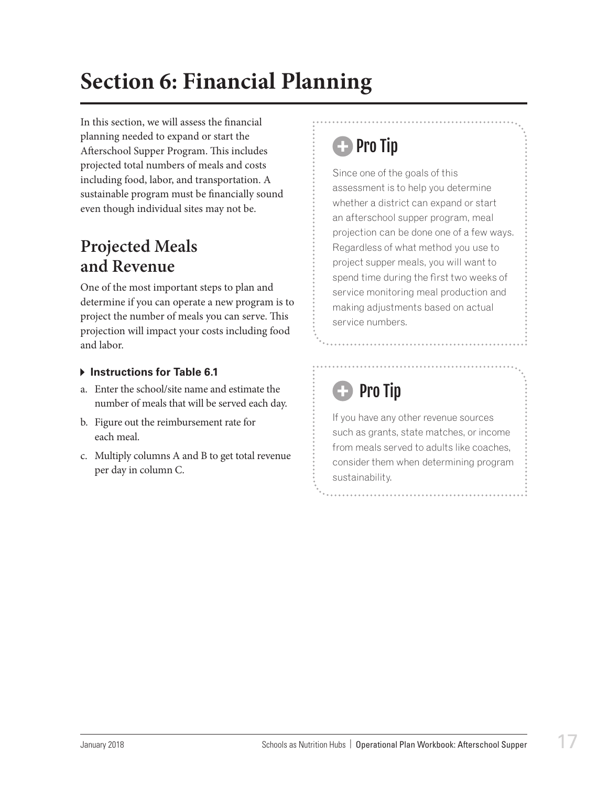## <span id="page-18-0"></span>**Section 6: Financial Planning**

In this section, we will assess the financial planning needed to expand or start the Afterschool Supper Program. This includes projected total numbers of meals and costs including food, labor, and transportation. A sustainable program must be financially sound even though individual sites may not be.

### **Projected Meals and Revenue**

One of the most important steps to plan and determine if you can operate a new program is to project the number of meals you can serve. This projection will impact your costs including food and labor.

#### **Instructions for Table 6.1**

- a. Enter the school/site name and estimate the number of meals that will be served each day.
- b. Figure out the reimbursement rate for each meal.
- c. Multiply columns A and B to get total revenue per day in column C.

## **C** Pro Tip

Since one of the goals of this assessment is to help you determine whether a district can expand or start an afterschool supper program, meal projection can be done one of a few ways. Regardless of what method you use to project supper meals, you will want to spend time during the first two weeks of service monitoring meal production and making adjustments based on actual service numbers.

## **D** Pro Tip

If you have any other revenue sources such as grants, state matches, or income from meals served to adults like coaches, consider them when determining program sustainability.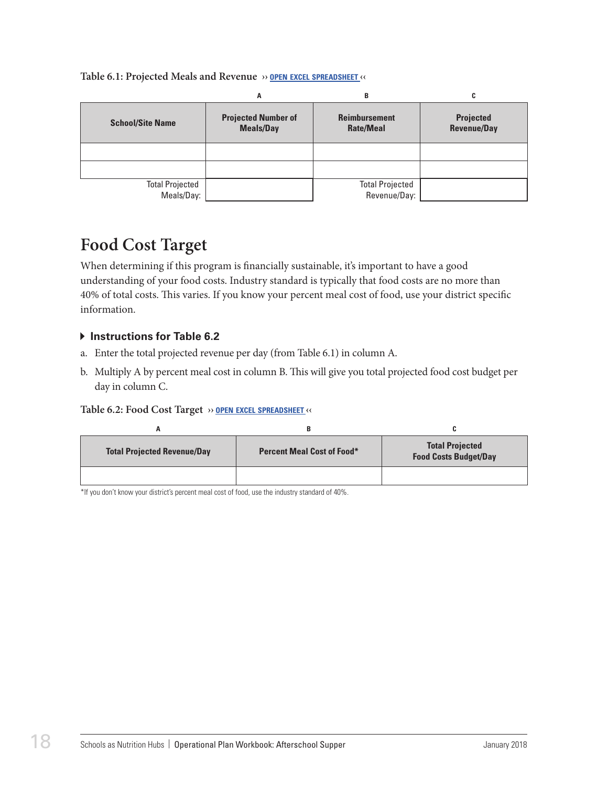<span id="page-19-0"></span>

| Table 6.1: Projected Meals and Revenue » OPEN EXCEL SPREADSHEET « |  |
|-------------------------------------------------------------------|--|
|-------------------------------------------------------------------|--|

|                         | A                                              | В                                        | C                                      |
|-------------------------|------------------------------------------------|------------------------------------------|----------------------------------------|
| <b>School/Site Name</b> | <b>Projected Number of</b><br><b>Meals/Day</b> | <b>Reimbursement</b><br><b>Rate/Meal</b> | <b>Projected</b><br><b>Revenue/Day</b> |
|                         |                                                |                                          |                                        |
|                         |                                                |                                          |                                        |
| <b>Total Projected</b>  |                                                | <b>Total Projected</b>                   |                                        |
| Meals/Day:              |                                                | Revenue/Day:                             |                                        |

### **Food Cost Target**

When determining if this program is financially sustainable, it's important to have a good understanding of your food costs. Industry standard is typically that food costs are no more than 40% of total costs. This varies. If you know your percent meal cost of food, use your district specific information.

#### **Instructions for Table 6.2**

- a. Enter the total projected revenue per day (from Table 6.1) in column A.
- b. Multiply A by percent meal cost in column B. This will give you total projected food cost budget per day in column C.

#### **Table 6.2: Food Cost Target ›› open excel [spreadsheet](https://schoolnutrition.org/uploadedFiles/2_Meetings_and_Events/SNF/Pages/supper-LR-121417.xlsx) ‹‹**

|                                    | В                                 |                                                        |
|------------------------------------|-----------------------------------|--------------------------------------------------------|
| <b>Total Projected Revenue/Day</b> | <b>Percent Meal Cost of Food*</b> | <b>Total Projected</b><br><b>Food Costs Budget/Day</b> |
|                                    |                                   |                                                        |

\*If you don't know your district's percent meal cost of food, use the industry standard of 40%.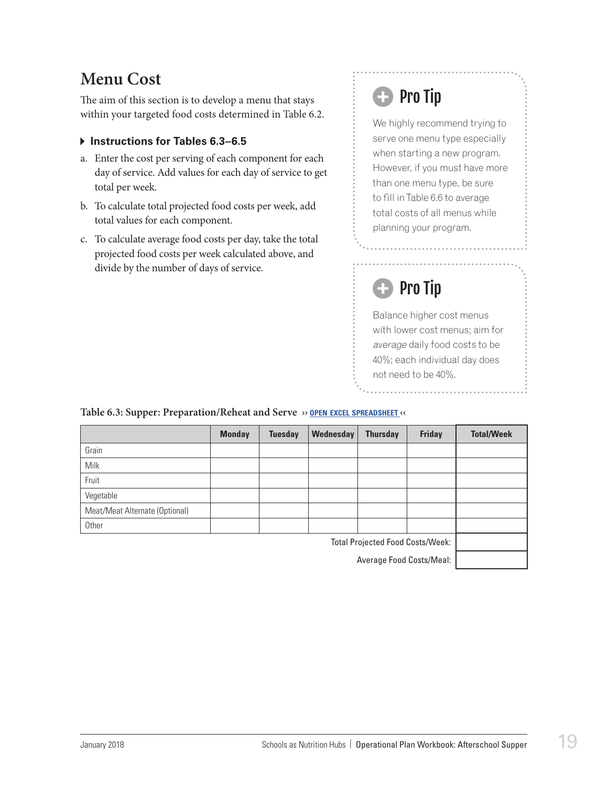### <span id="page-20-0"></span>**Menu Cost**

The aim of this section is to develop a menu that stays within your targeted food costs determined in Table 6.2.

#### **Instructions for Tables 6.3–6.5**

- a. Enter the cost per serving of each component for each day of service. Add values for each day of service to get total per week.
- b. To calculate total projected food costs per week, add total values for each component.
- c. To calculate average food costs per day, take the total projected food costs per week calculated above, and divide by the number of days of service.

## **B** Pro Tip

We highly recommend trying to serve one menu type especially when starting a new program. However, if you must have more than one menu type, be sure to fill in Table 6.6 to average total costs of all menus while planning your program.

## Pro Tip

Balance higher cost menus with lower cost menus; aim for average daily food costs to be 40%; each individual day does not need to be 40%.

#### **Table 6.3: Supper: Preparation/Reheat and Serve ›› open excel [spreadsheet](https://schoolnutrition.org/uploadedFiles/2_Meetings_and_Events/SNF/Pages/supper-LR-121417.xlsx) ‹‹**

|                                         | <b>Monday</b> | <b>Tuesday</b> | Wednesday | <b>Thursday</b> | <b>Friday</b> | <b>Total/Week</b> |
|-----------------------------------------|---------------|----------------|-----------|-----------------|---------------|-------------------|
| Grain                                   |               |                |           |                 |               |                   |
| <b>Milk</b>                             |               |                |           |                 |               |                   |
| Fruit                                   |               |                |           |                 |               |                   |
| Vegetable                               |               |                |           |                 |               |                   |
| Meat/Meat Alternate (Optional)          |               |                |           |                 |               |                   |
| Other                                   |               |                |           |                 |               |                   |
| <b>Total Projected Food Costs/Week:</b> |               |                |           |                 |               |                   |

Average Food Costs/Meal: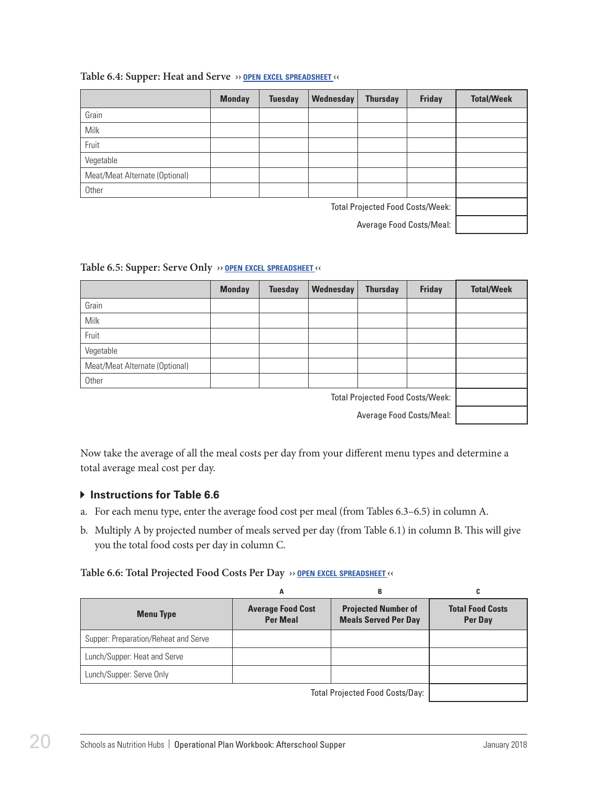|                                         | <b>Monday</b> | <b>Tuesday</b> | Wednesday | <b>Thursday</b> | <b>Friday</b> | <b>Total/Week</b> |
|-----------------------------------------|---------------|----------------|-----------|-----------------|---------------|-------------------|
| Grain                                   |               |                |           |                 |               |                   |
| Milk                                    |               |                |           |                 |               |                   |
| Fruit                                   |               |                |           |                 |               |                   |
| Vegetable                               |               |                |           |                 |               |                   |
| Meat/Meat Alternate (Optional)          |               |                |           |                 |               |                   |
| Other                                   |               |                |           |                 |               |                   |
| <b>Total Projected Food Costs/Week:</b> |               |                |           |                 |               |                   |
| Average Food Costs/Meal:                |               |                |           |                 |               |                   |

#### **Table 6.4: Supper: Heat and Serve ›› open excel [spreadsheet](https://schoolnutrition.org/uploadedFiles/2_Meetings_and_Events/SNF/Pages/supper-LR-121417.xlsx) ‹‹**

#### **Table 6.5: Supper: Serve Only ›› open excel [spreadsheet](https://schoolnutrition.org/uploadedFiles/2_Meetings_and_Events/SNF/Pages/supper-LR-121417.xlsx) ‹‹**

|                                         | <b>Monday</b> | <b>Tuesday</b> | Wednesday | <b>Thursday</b> | <b>Friday</b> | <b>Total/Week</b> |
|-----------------------------------------|---------------|----------------|-----------|-----------------|---------------|-------------------|
| Grain                                   |               |                |           |                 |               |                   |
| Milk                                    |               |                |           |                 |               |                   |
| Fruit                                   |               |                |           |                 |               |                   |
| Vegetable                               |               |                |           |                 |               |                   |
| Meat/Meat Alternate (Optional)          |               |                |           |                 |               |                   |
| Other                                   |               |                |           |                 |               |                   |
| <b>Total Projected Food Costs/Week:</b> |               |                |           |                 |               |                   |

Average Food Costs/Meal:

Now take the average of all the meal costs per day from your different menu types and determine a total average meal cost per day.

#### $\triangleright$  Instructions for Table 6.6

- a. For each menu type, enter the average food cost per meal (from Tables 6.3–6.5) in column A.
- b. Multiply A by projected number of meals served per day (from Table 6.1) in column B. This will give you the total food costs per day in column C.

#### **Table 6.6: Total Projected Food Costs Per Day ›› open excel [spreadsheet](https://schoolnutrition.org/uploadedFiles/2_Meetings_and_Events/SNF/Pages/supper-LR-121417.xlsx) ‹‹**

|                                      | A                                           | в                                                                                              |                                    |
|--------------------------------------|---------------------------------------------|------------------------------------------------------------------------------------------------|------------------------------------|
| <b>Menu Type</b>                     | <b>Average Food Cost</b><br><b>Per Meal</b> | <b>Projected Number of</b><br><b>Meals Served Per Day</b>                                      | <b>Total Food Costs</b><br>Per Day |
| Supper: Preparation/Reheat and Serve |                                             |                                                                                                |                                    |
| Lunch/Supper: Heat and Serve         |                                             |                                                                                                |                                    |
| Lunch/Supper: Serve Only             |                                             |                                                                                                |                                    |
|                                      |                                             | $T_{\text{total}}$ $D_{\text{total}}$ $L_{\text{total}}$ $D_{\text{total}}$ $D_{\text{total}}$ |                                    |

Total Projected Food Costs/Day: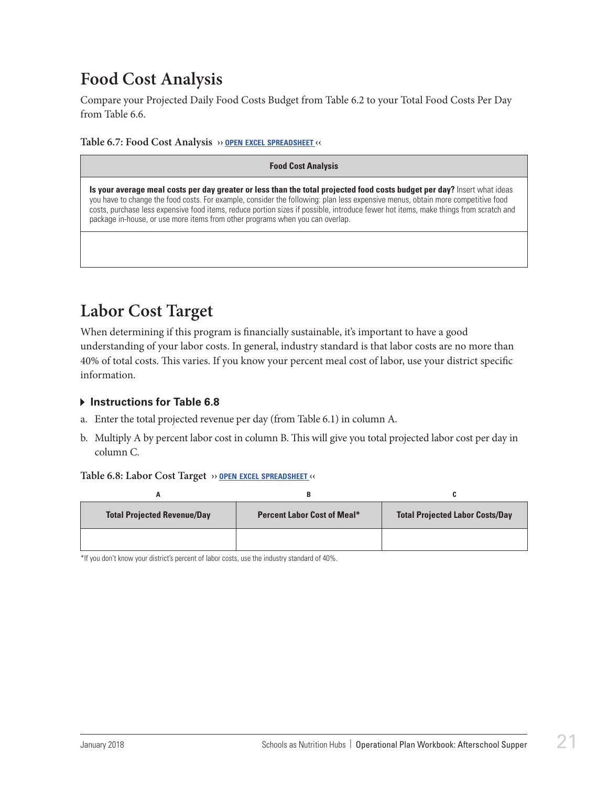### <span id="page-22-0"></span>**Food Cost Analysis**

Compare your Projected Daily Food Costs Budget from Table 6.2 to your Total Food Costs Per Day from Table 6.6.

**Table 6.7: Food Cost Analysis ›› open excel [spreadsheet](https://schoolnutrition.org/uploadedFiles/2_Meetings_and_Events/SNF/Pages/supper-LR-121417.xlsx) ‹‹**

#### **Food Cost Analysis**

**Is your average meal costs per day greater or less than the total projected food costs budget per day?** Insert what ideas you have to change the food costs. For example, consider the following: plan less expensive menus, obtain more competitive food costs, purchase less expensive food items, reduce portion sizes if possible, introduce fewer hot items, make things from scratch and package in-house, or use more items from other programs when you can overlap.

### **Labor Cost Target**

When determining if this program is financially sustainable, it's important to have a good understanding of your labor costs. In general, industry standard is that labor costs are no more than 40% of total costs. This varies. If you know your percent meal cost of labor, use your district specific information.

#### **Instructions for Table 6.8**

- a. Enter the total projected revenue per day (from Table 6.1) in column A.
- b. Multiply A by percent labor cost in column B. This will give you total projected labor cost per day in column C.

#### **Table 6.8: Labor Cost Target ›› open excel [spreadsheet](https://schoolnutrition.org/uploadedFiles/2_Meetings_and_Events/SNF/Pages/supper-LR-121417.xlsx) ‹‹**

| <b>Total Projected Revenue/Day</b> | <b>Percent Labor Cost of Meal*</b> | <b>Total Projected Labor Costs/Day</b> |
|------------------------------------|------------------------------------|----------------------------------------|
|                                    |                                    |                                        |

\*If you don't know your district's percent of labor costs, use the industry standard of 40%.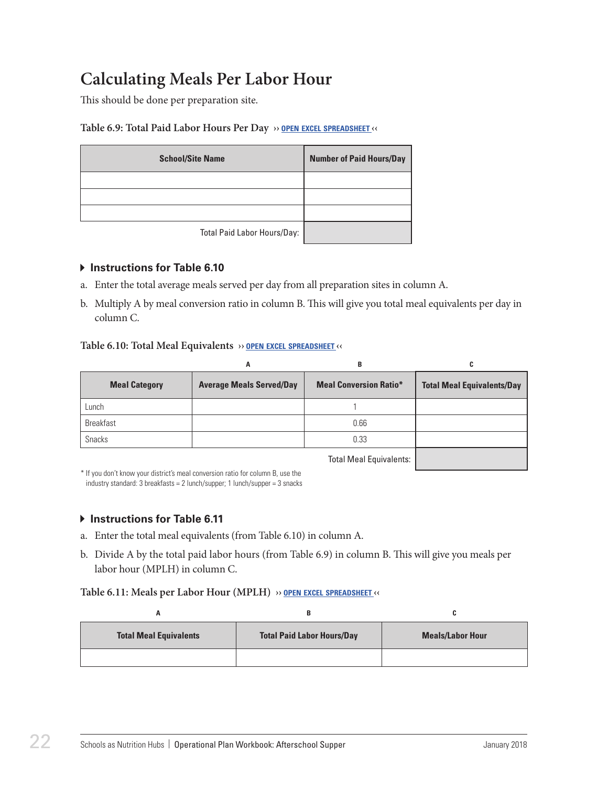### <span id="page-23-0"></span>**Calculating Meals Per Labor Hour**

This should be done per preparation site.

#### **Table 6.9: Total Paid Labor Hours Per Day ›› open excel [spreadsheet](https://schoolnutrition.org/uploadedFiles/2_Meetings_and_Events/SNF/Pages/supper-LR-121417.xlsx) ‹‹**

| <b>School/Site Name</b>     | <b>Number of Paid Hours/Day</b> |
|-----------------------------|---------------------------------|
|                             |                                 |
|                             |                                 |
|                             |                                 |
| Total Paid Labor Hours/Day: |                                 |

#### **Instructions for Table 6.10**

- a. Enter the total average meals served per day from all preparation sites in column A.
- b. Multiply A by meal conversion ratio in column B. This will give you total meal equivalents per day in column C.

#### **Table 6.10: Total Meal Equivalents ›› open excel [spreadsheet](https://schoolnutrition.org/uploadedFiles/2_Meetings_and_Events/SNF/Pages/supper-LR-121417.xlsx) ‹‹**

|                      | A                               | в                             | C                                 |
|----------------------|---------------------------------|-------------------------------|-----------------------------------|
| <b>Meal Category</b> | <b>Average Meals Served/Day</b> | <b>Meal Conversion Ratio*</b> | <b>Total Meal Equivalents/Day</b> |
| Lunch                |                                 |                               |                                   |
| <b>Breakfast</b>     |                                 | 0.66                          |                                   |
| <b>Snacks</b>        |                                 | 0.33                          |                                   |
|                      |                                 | Total Mool Equivalentar       |                                   |

Total Meal Equivalents:

\* If you don't know your district's meal conversion ratio for column B, use the industry standard: 3 breakfasts = 2 lunch/supper; 1 lunch/supper = 3 snacks

#### $\triangleright$  **Instructions for Table 6.11**

- a. Enter the total meal equivalents (from Table 6.10) in column A.
- b. Divide A by the total paid labor hours (from Table 6.9) in column B. This will give you meals per labor hour (MPLH) in column C.

#### **Table 6.11: Meals per Labor Hour (MPLH) ›› open excel [spreadsheet](https://schoolnutrition.org/uploadedFiles/2_Meetings_and_Events/SNF/Pages/supper-LR-121417.xlsx) ‹‹**

| <b>Total Meal Equivalents</b> | <b>Total Paid Labor Hours/Day</b> | <b>Meals/Labor Hour</b> |  |
|-------------------------------|-----------------------------------|-------------------------|--|
|                               |                                   |                         |  |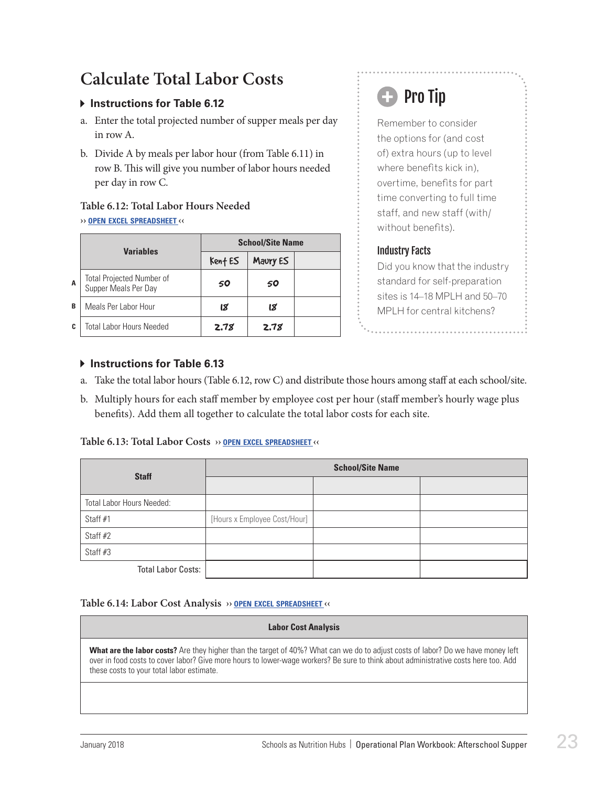### <span id="page-24-0"></span>**Calculate Total Labor Costs**

#### **Instructions for Table 6.12**

- a. Enter the total projected number of supper meals per day in row A.
- b. Divide A by meals per labor hour (from Table 6.11) in row B. This will give you number of labor hours needed per day in row C.

### **Table 6.12: Total Labor Hours Needed**

#### **›› open excel [spreadsheet](https://schoolnutrition.org/uploadedFiles/2_Meetings_and_Events/SNF/Pages/supper-LR-121417.xlsx) ‹‹**

|   | <b>Variables</b>                                         | <b>School/Site Name</b> |          |  |  |
|---|----------------------------------------------------------|-------------------------|----------|--|--|
|   |                                                          | Kent ES                 | Maury ES |  |  |
| A | <b>Total Projected Number of</b><br>Supper Meals Per Day | 50                      | 50       |  |  |
| B | Meals Per Labor Hour                                     | នេ                      | 18       |  |  |
| C | <b>Total Labor Hours Needed</b>                          | 2.78                    | 2.78     |  |  |

## **B** Pro Tip

Remember to consider the options for (and cost of) extra hours (up to level where benefits kick in), overtime, benefits for part time converting to full time staff, and new staff (with/ without benefits).

#### Industry Facts

Did you know that the industry standard for self-preparation sites is 14–18 MPLH and 50–70 MPLH for central kitchens?

#### **Instructions for Table 6.13**

- a. Take the total labor hours (Table 6.12, row C) and distribute those hours among staff at each school/site.
- b. Multiply hours for each staff member by employee cost per hour (staff member's hourly wage plus benefits). Add them all together to calculate the total labor costs for each site.

#### **Table 6.13: Total Labor Costs ›› open excel [spreadsheet](https://schoolnutrition.org/uploadedFiles/2_Meetings_and_Events/SNF/Pages/supper-LR-121417.xlsx) ‹‹**

| <b>Staff</b>              | <b>School/Site Name</b>      |  |  |  |
|---------------------------|------------------------------|--|--|--|
|                           |                              |  |  |  |
| Total Labor Hours Needed: |                              |  |  |  |
| Staff #1                  | [Hours x Employee Cost/Hour] |  |  |  |
| Staff #2                  |                              |  |  |  |
| Staff #3                  |                              |  |  |  |
| <b>Total Labor Costs:</b> |                              |  |  |  |

#### **Table 6.14: Labor Cost Analysis ›› open excel [spreadsheet](https://schoolnutrition.org/uploadedFiles/2_Meetings_and_Events/SNF/Pages/supper-LR-121417.xlsx) ‹‹**

#### **Labor Cost Analysis**

**What are the labor costs?** Are they higher than the target of 40%? What can we do to adjust costs of labor? Do we have money left over in food costs to cover labor? Give more hours to lower-wage workers? Be sure to think about administrative costs here too. Add these costs to your total labor estimate.